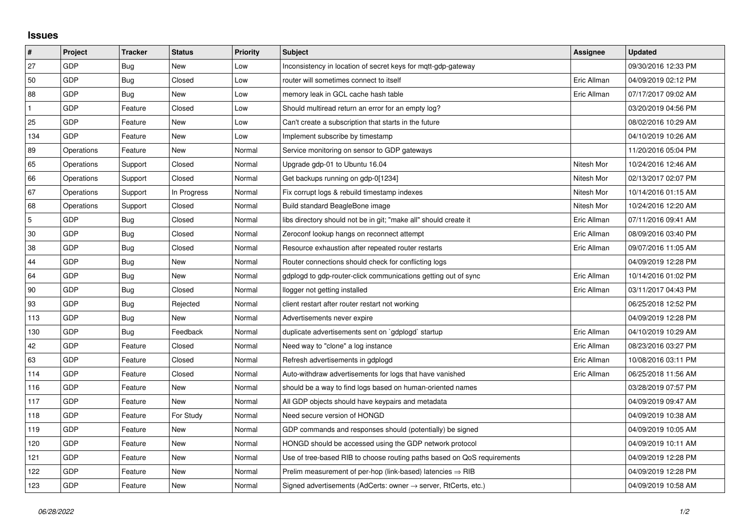## **Issues**

| #   | Project    | <b>Tracker</b> | <b>Status</b> | <b>Priority</b> | <b>Subject</b>                                                             | Assignee    | <b>Updated</b>      |
|-----|------------|----------------|---------------|-----------------|----------------------------------------------------------------------------|-------------|---------------------|
| 27  | GDP        | Bug            | <b>New</b>    | Low             | Inconsistency in location of secret keys for mgtt-gdp-gateway              |             | 09/30/2016 12:33 PM |
| 50  | GDP        | <b>Bug</b>     | Closed        | Low             | router will sometimes connect to itself                                    | Eric Allman | 04/09/2019 02:12 PM |
| 88  | GDP        | Bug            | New           | Low             | memory leak in GCL cache hash table                                        | Eric Allman | 07/17/2017 09:02 AM |
|     | GDP        | Feature        | Closed        | Low             | Should multiread return an error for an empty log?                         |             | 03/20/2019 04:56 PM |
| 25  | GDP        | Feature        | New           | Low             | Can't create a subscription that starts in the future                      |             | 08/02/2016 10:29 AM |
| 134 | GDP        | Feature        | New           | Low             | Implement subscribe by timestamp                                           |             | 04/10/2019 10:26 AM |
| 89  | Operations | Feature        | <b>New</b>    | Normal          | Service monitoring on sensor to GDP gateways                               |             | 11/20/2016 05:04 PM |
| 65  | Operations | Support        | Closed        | Normal          | Upgrade gdp-01 to Ubuntu 16.04                                             | Nitesh Mor  | 10/24/2016 12:46 AM |
| 66  | Operations | Support        | Closed        | Normal          | Get backups running on gdp-0[1234]                                         | Nitesh Mor  | 02/13/2017 02:07 PM |
| 67  | Operations | Support        | In Progress   | Normal          | Fix corrupt logs & rebuild timestamp indexes                               | Nitesh Mor  | 10/14/2016 01:15 AM |
| 68  | Operations | Support        | Closed        | Normal          | Build standard BeagleBone image                                            | Nitesh Mor  | 10/24/2016 12:20 AM |
| 5   | GDP        | Bug            | Closed        | Normal          | libs directory should not be in git; "make all" should create it           | Eric Allman | 07/11/2016 09:41 AM |
| 30  | GDP        | <b>Bug</b>     | Closed        | Normal          | Zeroconf lookup hangs on reconnect attempt                                 | Eric Allman | 08/09/2016 03:40 PM |
| 38  | GDP        | Bug            | Closed        | Normal          | Resource exhaustion after repeated router restarts                         | Eric Allman | 09/07/2016 11:05 AM |
| 44  | GDP        | Bug            | New           | Normal          | Router connections should check for conflicting logs                       |             | 04/09/2019 12:28 PM |
| 64  | GDP        | <b>Bug</b>     | <b>New</b>    | Normal          | gdplogd to gdp-router-click communications getting out of sync             | Eric Allman | 10/14/2016 01:02 PM |
| 90  | GDP        | Bug            | Closed        | Normal          | llogger not getting installed                                              | Eric Allman | 03/11/2017 04:43 PM |
| 93  | GDP        | <b>Bug</b>     | Rejected      | Normal          | client restart after router restart not working                            |             | 06/25/2018 12:52 PM |
| 113 | GDP        | Bug            | <b>New</b>    | Normal          | Advertisements never expire                                                |             | 04/09/2019 12:28 PM |
| 130 | GDP        | Bug            | Feedback      | Normal          | duplicate advertisements sent on `gdplogd` startup                         | Eric Allman | 04/10/2019 10:29 AM |
| 42  | GDP        | Feature        | Closed        | Normal          | Need way to "clone" a log instance                                         | Eric Allman | 08/23/2016 03:27 PM |
| 63  | GDP        | Feature        | Closed        | Normal          | Refresh advertisements in gdplogd                                          | Eric Allman | 10/08/2016 03:11 PM |
| 114 | GDP        | Feature        | Closed        | Normal          | Auto-withdraw advertisements for logs that have vanished                   | Eric Allman | 06/25/2018 11:56 AM |
| 116 | GDP        | Feature        | New           | Normal          | should be a way to find logs based on human-oriented names                 |             | 03/28/2019 07:57 PM |
| 117 | GDP        | Feature        | <b>New</b>    | Normal          | All GDP objects should have keypairs and metadata                          |             | 04/09/2019 09:47 AM |
| 118 | GDP        | Feature        | For Study     | Normal          | Need secure version of HONGD                                               |             | 04/09/2019 10:38 AM |
| 119 | GDP        | Feature        | New           | Normal          | GDP commands and responses should (potentially) be signed                  |             | 04/09/2019 10:05 AM |
| 120 | GDP        | Feature        | New           | Normal          | HONGD should be accessed using the GDP network protocol                    |             | 04/09/2019 10:11 AM |
| 121 | GDP        | Feature        | New           | Normal          | Use of tree-based RIB to choose routing paths based on QoS requirements    |             | 04/09/2019 12:28 PM |
| 122 | GDP        | Feature        | New           | Normal          | Prelim measurement of per-hop (link-based) latencies $\Rightarrow$ RIB     |             | 04/09/2019 12:28 PM |
| 123 | GDP        | Feature        | New           | Normal          | Signed advertisements (AdCerts: owner $\rightarrow$ server, RtCerts, etc.) |             | 04/09/2019 10:58 AM |